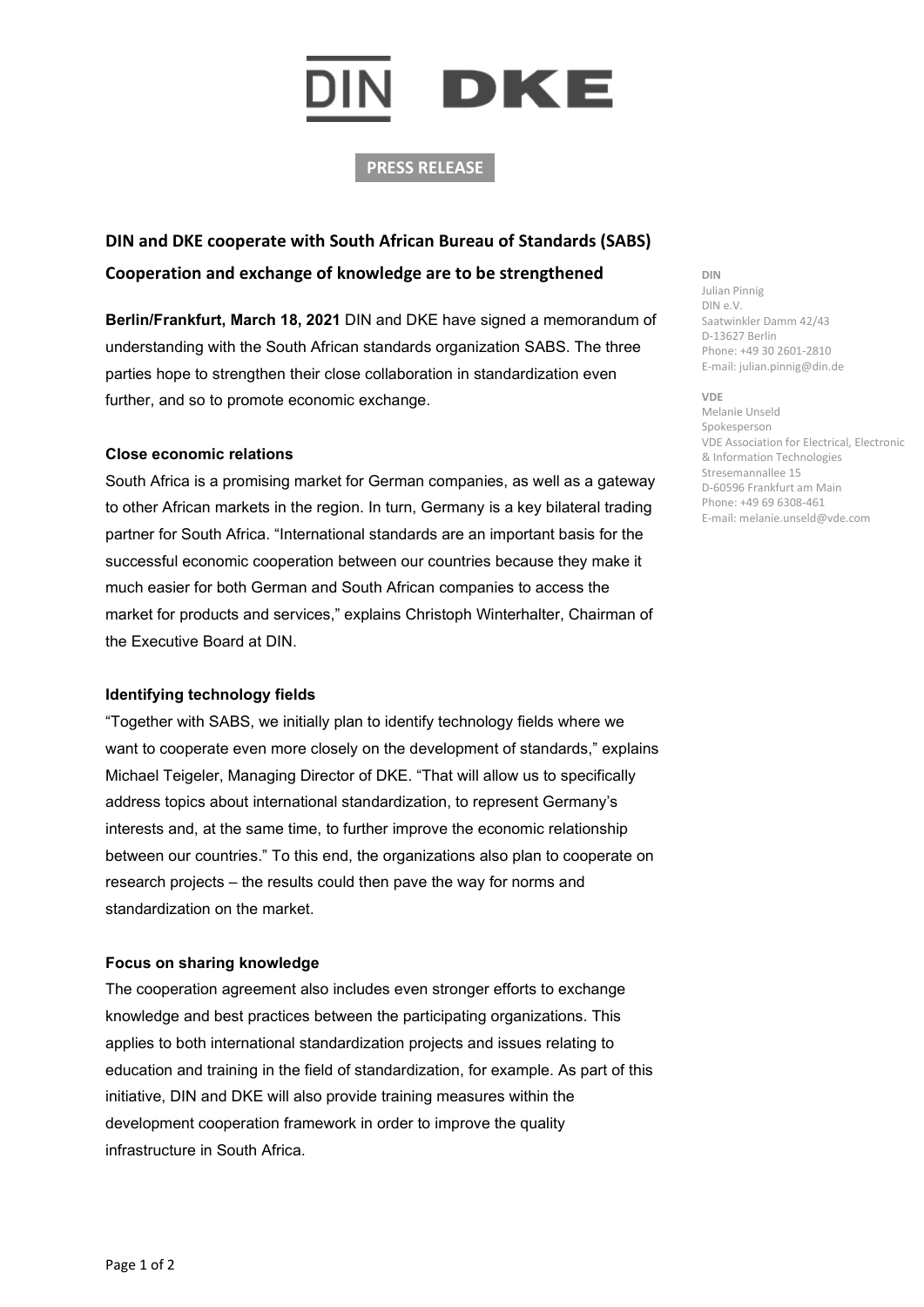# IN DKE

## **PRESS RELEASE**

# **DIN and DKE cooperate with South African Bureau of Standards (SABS) Cooperation and exchange of knowledge are to be strengthened**

**Berlin/Frankfurt, March 18, 2021** DIN and DKE have signed a memorandum of understanding with the South African standards organization SABS. The three parties hope to strengthen their close collaboration in standardization even further, and so to promote economic exchange.

### **Close economic relations**

South Africa is a promising market for German companies, as well as a gateway to other African markets in the region. In turn, Germany is a key bilateral trading partner for South Africa. "International standards are an important basis for the successful economic cooperation between our countries because they make it much easier for both German and South African companies to access the market for products and services," explains Christoph Winterhalter, Chairman of the Executive Board at DIN.

### **Identifying technology fields**

"Together with SABS, we initially plan to identify technology fields where we want to cooperate even more closely on the development of standards," explains Michael Teigeler, Managing Director of DKE. "That will allow us to specifically address topics about international standardization, to represent Germany's interests and, at the same time, to further improve the economic relationship between our countries." To this end, the organizations also plan to cooperate on research projects – the results could then pave the way for norms and standardization on the market.

### **Focus on sharing knowledge**

The cooperation agreement also includes even stronger efforts to exchange knowledge and best practices between the participating organizations. This applies to both international standardization projects and issues relating to education and training in the field of standardization, for example. As part of this initiative, DIN and DKE will also provide training measures within the development cooperation framework in order to improve the quality infrastructure in South Africa.

#### **DIN** Julian Pinnig DIN e.V. Saatwinkler Damm 42/43 D-13627 Berlin Phone: +49 30 2601-2810 E-mail: julian.pinnig@din.de

#### **VDE** Melanie Unseld Spokesperson VDE Association for Electrical, Electronic & Information Technologies Stresemannallee 15 D-60596 Frankfurt am Main Phone: +49 69 6308-461 E-mail: melanie.unseld@vde.com